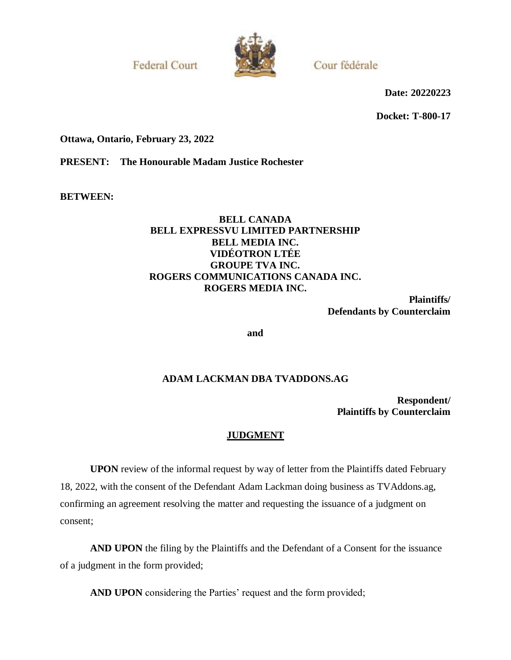**Federal Court** 



Cour fédérale

**Date: 20220223**

**Docket: T-800-17**

**Ottawa, Ontario, February 23, 2022**

**PRESENT: The Honourable Madam Justice Rochester**

**BETWEEN:**

## **BELL CANADA BELL EXPRESSVU LIMITED PARTNERSHIP BELL MEDIA INC. VIDÉOTRON LTÉE GROUPE TVA INC. ROGERS COMMUNICATIONS CANADA INC. ROGERS MEDIA INC.**

**Plaintiffs/ Defendants by Counterclaim**

**and**

## **ADAM LACKMAN DBA TVADDONS.AG**

**Respondent/ Plaintiffs by Counterclaim**

## **JUDGMENT**

**UPON** review of the informal request by way of letter from the Plaintiffs dated February 18, 2022, with the consent of the Defendant Adam Lackman doing business as TVAddons.ag, confirming an agreement resolving the matter and requesting the issuance of a judgment on consent;

**AND UPON** the filing by the Plaintiffs and the Defendant of a Consent for the issuance of a judgment in the form provided;

**AND UPON** considering the Parties' request and the form provided;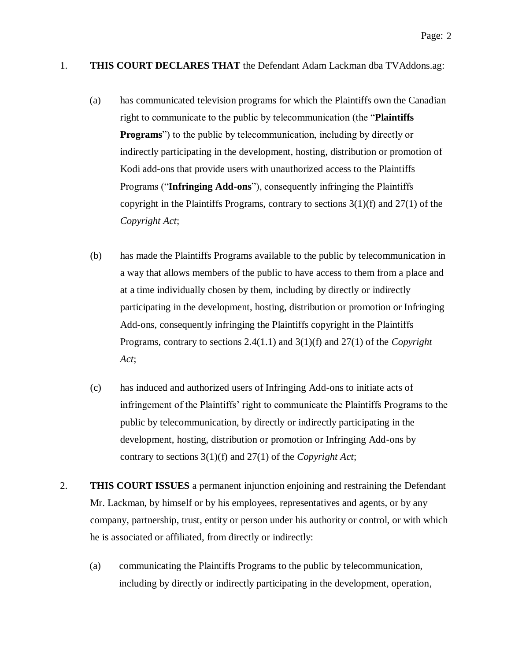## 1. **THIS COURT DECLARES THAT** the Defendant Adam Lackman dba TVAddons.ag:

- (a) has communicated television programs for which the Plaintiffs own the Canadian right to communicate to the public by telecommunication (the "**Plaintiffs Programs**") to the public by telecommunication, including by directly or indirectly participating in the development, hosting, distribution or promotion of Kodi add-ons that provide users with unauthorized access to the Plaintiffs Programs ("**Infringing Add-ons**"), consequently infringing the Plaintiffs copyright in the Plaintiffs Programs, contrary to sections  $3(1)(f)$  and  $27(1)$  of the *Copyright Act*;
- (b) has made the Plaintiffs Programs available to the public by telecommunication in a way that allows members of the public to have access to them from a place and at a time individually chosen by them, including by directly or indirectly participating in the development, hosting, distribution or promotion or Infringing Add-ons, consequently infringing the Plaintiffs copyright in the Plaintiffs Programs, contrary to sections 2.4(1.1) and 3(1)(f) and 27(1) of the *Copyright Act*;
- (c) has induced and authorized users of Infringing Add-ons to initiate acts of infringement of the Plaintiffs' right to communicate the Plaintiffs Programs to the public by telecommunication, by directly or indirectly participating in the development, hosting, distribution or promotion or Infringing Add-ons by contrary to sections 3(1)(f) and 27(1) of the *Copyright Act*;
- 2. **THIS COURT ISSUES** a permanent injunction enjoining and restraining the Defendant Mr. Lackman, by himself or by his employees, representatives and agents, or by any company, partnership, trust, entity or person under his authority or control, or with which he is associated or affiliated, from directly or indirectly:
	- (a) communicating the Plaintiffs Programs to the public by telecommunication, including by directly or indirectly participating in the development, operation,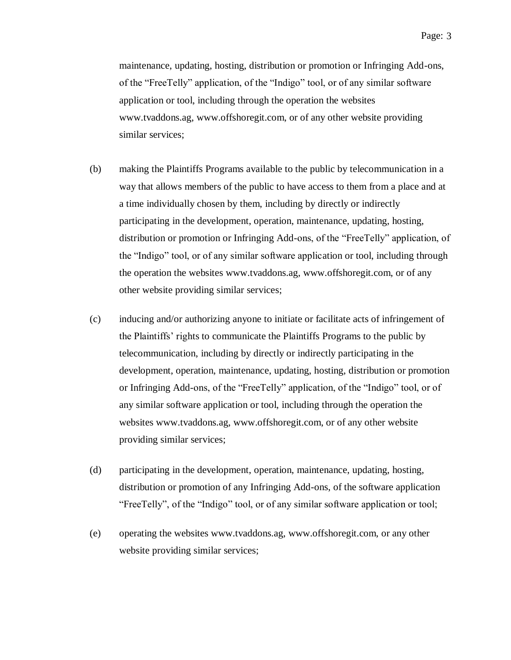maintenance, updating, hosting, distribution or promotion or Infringing Add-ons, of the "FreeTelly" application, of the "Indigo" tool, or of any similar software application or tool, including through the operation the websites www.tvaddons.ag, www.offshoregit.com, or of any other website providing similar services;

- (b) making the Plaintiffs Programs available to the public by telecommunication in a way that allows members of the public to have access to them from a place and at a time individually chosen by them, including by directly or indirectly participating in the development, operation, maintenance, updating, hosting, distribution or promotion or Infringing Add-ons, of the "FreeTelly" application, of the "Indigo" tool, or of any similar software application or tool, including through the operation the websites www.tvaddons.ag, www.offshoregit.com, or of any other website providing similar services;
- (c) inducing and/or authorizing anyone to initiate or facilitate acts of infringement of the Plaintiffs' rights to communicate the Plaintiffs Programs to the public by telecommunication, including by directly or indirectly participating in the development, operation, maintenance, updating, hosting, distribution or promotion or Infringing Add-ons, of the "FreeTelly" application, of the "Indigo" tool, or of any similar software application or tool, including through the operation the websites www.tvaddons.ag, www.offshoregit.com, or of any other website providing similar services;
- (d) participating in the development, operation, maintenance, updating, hosting, distribution or promotion of any Infringing Add-ons, of the software application "FreeTelly", of the "Indigo" tool, or of any similar software application or tool;
- (e) operating the websites www.tvaddons.ag, www.offshoregit.com, or any other website providing similar services;